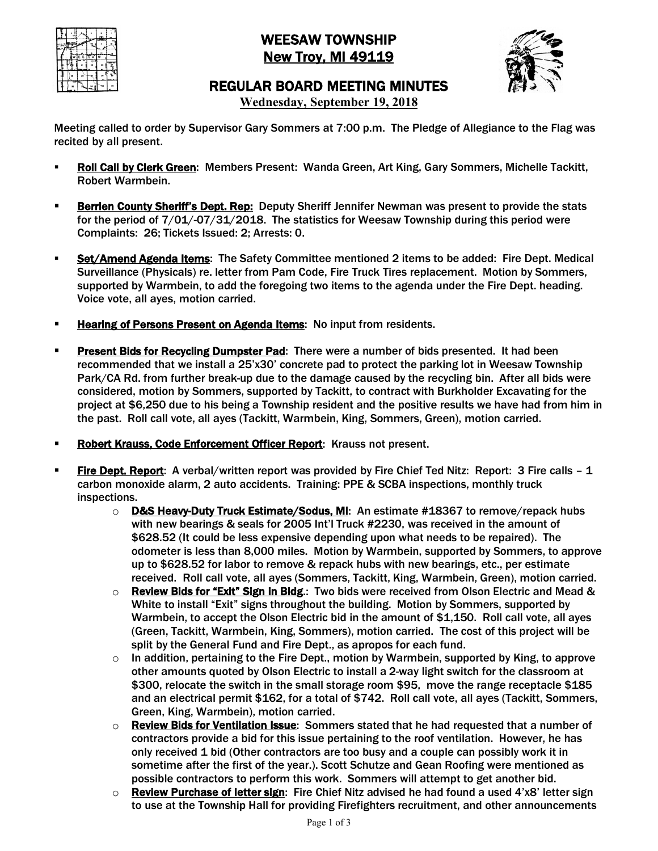

# WEESAW TOWNSHIP **New Troy, MI 49119**



REGULAR BOARD MEETING MINUTES

**Wednesday, September 19, 2018**

Meeting called to order by Supervisor Gary Sommers at 7:00 p.m. The Pledge of Allegiance to the Flag was recited by all present.

- § Roll Call by Clerk Green: Members Present: Wanda Green, Art King, Gary Sommers, Michelle Tackitt, Robert Warmbein.
- **Berrien County Sheriff's Dept. Rep:** Deputy Sheriff Jennifer Newman was present to provide the stats for the period of 7/01/-07/31/2018. The statistics for Weesaw Township during this period were Complaints: 26; Tickets Issued: 2; Arrests: 0.
- Set/Amend Agenda Items: The Safety Committee mentioned 2 items to be added: Fire Dept. Medical Surveillance (Physicals) re. letter from Pam Code, Fire Truck Tires replacement. Motion by Sommers, supported by Warmbein, to add the foregoing two items to the agenda under the Fire Dept. heading. Voice vote, all ayes, motion carried.
- **Example 2 Hearing of Persons Present on Agenda Items:** No input from residents.
- **Present Bids for Recycling Dumpster Pad:** There were a number of bids presented. It had been recommended that we install a 25'x30' concrete pad to protect the parking lot in Weesaw Township Park/CA Rd. from further break-up due to the damage caused by the recycling bin. After all bids were considered, motion by Sommers, supported by Tackitt, to contract with Burkholder Excavating for the project at \$6,250 due to his being a Township resident and the positive results we have had from him in the past. Roll call vote, all ayes (Tackitt, Warmbein, King, Sommers, Green), motion carried.
- **Robert Krauss, Code Enforcement Officer Report:** Krauss not present.
- **Fire Dept. Report:** A verbal/written report was provided by Fire Chief Ted Nitz: Report: 3 Fire calls 1 carbon monoxide alarm, 2 auto accidents. Training: PPE & SCBA inspections, monthly truck inspections.
	- $\circ$  **D&S Heavy-Duty Truck Estimate/Sodus, MI:** An estimate #18367 to remove/repack hubs with new bearings & seals for 2005 Int'l Truck #2230, was received in the amount of \$628.52 (It could be less expensive depending upon what needs to be repaired). The odometer is less than 8,000 miles. Motion by Warmbein, supported by Sommers, to approve up to \$628.52 for labor to remove & repack hubs with new bearings, etc., per estimate received. Roll call vote, all ayes (Sommers, Tackitt, King, Warmbein, Green), motion carried.
	- $\circ$  Review Bids for "Exit" Sign in Bldg.: Two bids were received from Olson Electric and Mead & White to install "Exit" signs throughout the building. Motion by Sommers, supported by Warmbein, to accept the Olson Electric bid in the amount of \$1,150. Roll call vote, all ayes (Green, Tackitt, Warmbein, King, Sommers), motion carried. The cost of this project will be split by the General Fund and Fire Dept., as apropos for each fund.
	- $\circ$  In addition, pertaining to the Fire Dept., motion by Warmbein, supported by King, to approve other amounts quoted by Olson Electric to install a 2-way light switch for the classroom at \$300, relocate the switch in the small storage room \$95, move the range receptacle \$185 and an electrical permit \$162, for a total of \$742. Roll call vote, all ayes (Tackitt, Sommers, Green, King, Warmbein), motion carried.
	- **Review Bids for Ventilation Issue:** Sommers stated that he had requested that a number of contractors provide a bid for this issue pertaining to the roof ventilation. However, he has only received 1 bid (Other contractors are too busy and a couple can possibly work it in sometime after the first of the year.). Scott Schutze and Gean Roofing were mentioned as possible contractors to perform this work. Sommers will attempt to get another bid.
	- $\circ$  Review Purchase of letter sign: Fire Chief Nitz advised he had found a used 4'x8' letter sign to use at the Township Hall for providing Firefighters recruitment, and other announcements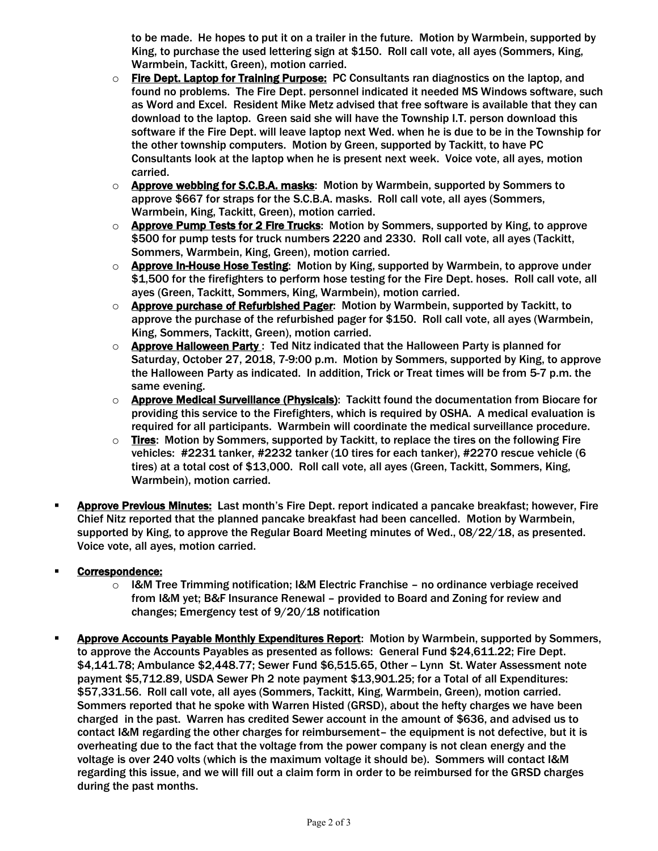to be made. He hopes to put it on a trailer in the future. Motion by Warmbein, supported by King, to purchase the used lettering sign at \$150. Roll call vote, all ayes (Sommers, King, Warmbein, Tackitt, Green), motion carried.

- $\circ$  Fire Dept. Laptop for Training Purpose: PC Consultants ran diagnostics on the laptop, and found no problems. The Fire Dept. personnel indicated it needed MS Windows software, such as Word and Excel. Resident Mike Metz advised that free software is available that they can download to the laptop. Green said she will have the Township I.T. person download this software if the Fire Dept. will leave laptop next Wed. when he is due to be in the Township for the other township computers. Motion by Green, supported by Tackitt, to have PC Consultants look at the laptop when he is present next week. Voice vote, all ayes, motion carried.
- $\circ$  Approve webbing for S.C.B.A. masks: Motion by Warmbein, supported by Sommers to approve \$667 for straps for the S.C.B.A. masks. Roll call vote, all ayes (Sommers, Warmbein, King, Tackitt, Green), motion carried.
- o **Approve Pump Tests for 2 Fire Trucks**: Motion by Sommers, supported by King, to approve \$500 for pump tests for truck numbers 2220 and 2330. Roll call vote, all ayes (Tackitt, Sommers, Warmbein, King, Green), motion carried.
- o Approve In-House Hose Testing: Motion by King, supported by Warmbein, to approve under \$1,500 for the firefighters to perform hose testing for the Fire Dept. hoses. Roll call vote, all ayes (Green, Tackitt, Sommers, King, Warmbein), motion carried.
- $\circ$  Approve purchase of Refurbished Pager: Motion by Warmbein, supported by Tackitt, to approve the purchase of the refurbished pager for \$150. Roll call vote, all ayes (Warmbein, King, Sommers, Tackitt, Green), motion carried.
- $\circ$  Approve Halloween Party: Ted Nitz indicated that the Halloween Party is planned for Saturday, October 27, 2018, 7-9:00 p.m. Motion by Sommers, supported by King, to approve the Halloween Party as indicated. In addition, Trick or Treat times will be from 5-7 p.m. the same evening.
- o **Approve Medical Surveillance (Physicals)**: Tackitt found the documentation from Biocare for providing this service to the Firefighters, which is required by OSHA. A medical evaluation is required for all participants. Warmbein will coordinate the medical surveillance procedure.
- $\circ$  Tires: Motion by Sommers, supported by Tackitt, to replace the tires on the following Fire vehicles: #2231 tanker, #2232 tanker (10 tires for each tanker), #2270 rescue vehicle (6 tires) at a total cost of \$13,000. Roll call vote, all ayes (Green, Tackitt, Sommers, King, Warmbein), motion carried.
- Approve Previous Minutes: Last month's Fire Dept. report indicated a pancake breakfast; however, Fire Chief Nitz reported that the planned pancake breakfast had been cancelled. Motion by Warmbein, supported by King, to approve the Regular Board Meeting minutes of Wed., 08/22/18, as presented. Voice vote, all ayes, motion carried.

## Correspondence:

- o I&M Tree Trimming notification; I&M Electric Franchise no ordinance verbiage received from I&M yet; B&F Insurance Renewal – provided to Board and Zoning for review and changes; Emergency test of 9/20/18 notification
- Approve Accounts Payable Monthly Expenditures Report: Motion by Warmbein, supported by Sommers, to approve the Accounts Payables as presented as follows: General Fund \$24,611.22; Fire Dept. \$4,141.78; Ambulance \$2,448.77; Sewer Fund \$6,515.65, Other - Lynn St. Water Assessment note payment \$5,712.89, USDA Sewer Ph 2 note payment \$13,901.25; for a Total of all Expenditures: \$57,331.56. Roll call vote, all ayes (Sommers, Tackitt, King, Warmbein, Green), motion carried. Sommers reported that he spoke with Warren Histed (GRSD), about the hefty charges we have been charged in the past. Warren has credited Sewer account in the amount of \$636, and advised us to contact I&M regarding the other charges for reimbursement– the equipment is not defective, but it is overheating due to the fact that the voltage from the power company is not clean energy and the voltage is over 240 volts (which is the maximum voltage it should be). Sommers will contact I&M regarding this issue, and we will fill out a claim form in order to be reimbursed for the GRSD charges during the past months.